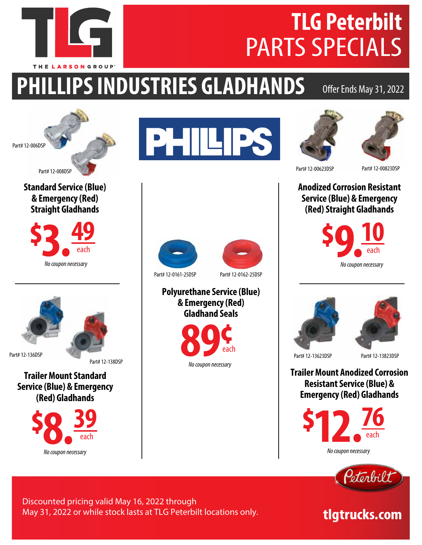

# **PHILLIPS INDUSTRIES GLADHANDS**

#### Offer Ends May 31, 2022



THE LARSON GROUP

**Standard Service (Blue) & Emergency (Red) Straight Gladhands**





Part# 12-136DSP

Part# 12-138DSP

**Trailer Mount Standard Service (Blue) & Emergency (Red) Gladhands**









**Anodized Corrosion Resistant Service (Blue) & Emergency (Red) Straight Gladhands**





Part# 12-13623DSP Part# 12-13823DSP

**Trailer Mount Anodized Corrosion Resistant Service (Blue) & Emergency (Red) Gladhands**





### tlgtrucks.com

Discounted pricing valid May 16, 2022 through May 31, 2022 or while stock lasts at TLG Peterbilt locations only.

**Polyurethane Service (Blue) & Emergency (Red) Gladhand Seals**



*No coupon necessary*

Part# 12-0161-25DSP Part# 12-0162-25DSP